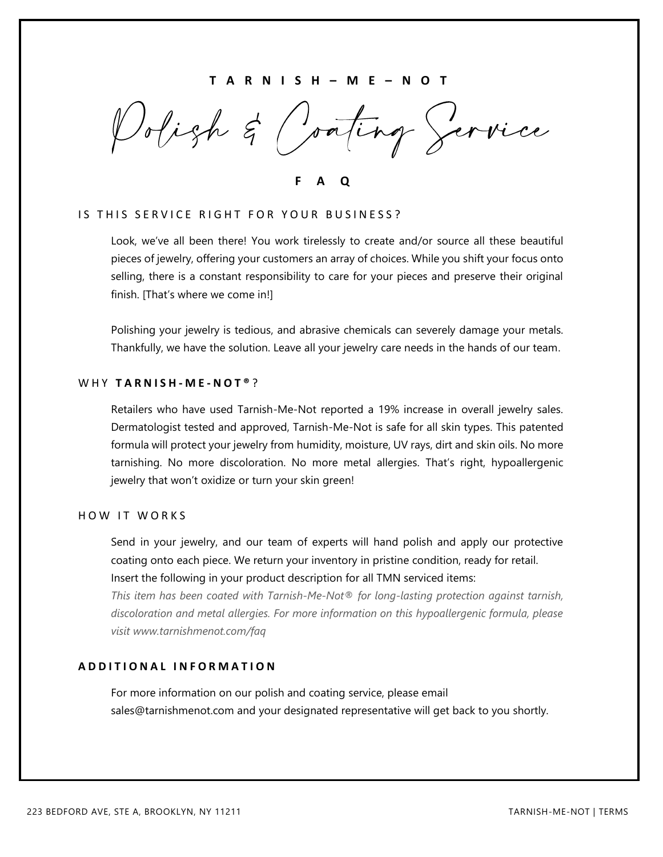## **T A R N I S H – M E – N O T**

Polish & Conting Service

**F A Q**

#### IS THIS SERVICE RIGHT FOR YOUR BUSINESS?

Look, we've all been there! You work tirelessly to create and/or source all these beautiful pieces of jewelry, offering your customers an array of choices. While you shift your focus onto selling, there is a constant responsibility to care for your pieces and preserve their original finish. [That's where we come in!]

Polishing your jewelry is tedious, and abrasive chemicals can severely damage your metals. Thankfully, we have the solution. Leave all your jewelry care needs in the hands of our team.

## W H Y **T A R N I S H - M E - N O T ®** ?

Retailers who have used Tarnish-Me-Not reported a 19% increase in overall jewelry sales. Dermatologist tested and approved, Tarnish-Me-Not is safe for all skin types. This patented formula will protect your jewelry from humidity, moisture, UV rays, dirt and skin oils. No more tarnishing. No more discoloration. No more metal allergies. That's right, hypoallergenic jewelry that won't oxidize or turn your skin green!

# HOW IT WORKS

Send in your jewelry, and our team of experts will hand polish and apply our protective coating onto each piece. We return your inventory in pristine condition, ready for retail. Insert the following in your product description for all TMN serviced items:

*This item has been coated with Tarnish-Me-Not® for long-lasting protection against tarnish, discoloration and metal allergies. For more information on this hypoallergenic formula, please visit [www.tarnishmenot.com/faq](http://www.tarnishmenot.com/faq)*

### **A D D I T I O N A L I N F O R M A T I O N**

For more information on our polish and coating service, please email sales@tarnishmenot.com and your designated representative will get back to you shortly.